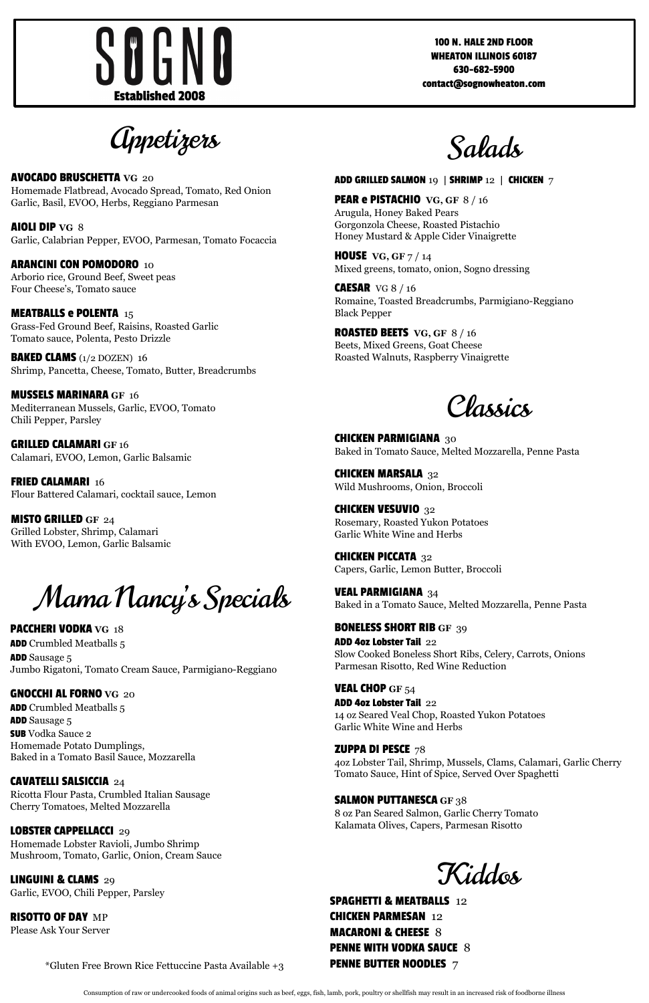*Appetizers* 



AVOCADO BRUSCHETTA **VG** 20 Homemade Flatbread, Avocado Spread, Tomato, Red Onion Garlic, Basil, EVOO, Herbs, Reggiano Parmesan

**MEATBALLS e POLENTA** 15 Grass-Fed Ground Beef, Raisins, Roasted Garlic Tomato sauce, Polenta, Pesto Drizzle

AIOLI DIP **VG** 8 Garlic, Calabrian Pepper, EVOO, Parmesan, Tomato Focaccia

ARANCINI CON POMODORO10 Arborio rice, Ground Beef, Sweet peas Four Cheese's, Tomato sauce

**FRIED CALAMARI 16** Flour Battered Calamari, cocktail sauce, Lemon

BAKED CLAMS (1/2 DOZEN)16 Shrimp, Pancetta, Cheese, Tomato, Butter, Breadcrumbs

MUSSELS MARINARA **GF** 16 Mediterranean Mussels, Garlic, EVOO, Tomato Chili Pepper, Parsley

> **CHICKEN PARMIGIANA 30** Baked in Tomato Sauce, Melted Mozzarella, Penne Pasta

GRILLED CALAMARI **GF** 16 Calamari, EVOO, Lemon, Garlic Balsamic

> **CHICKEN MARSALA 32** Wild Mushrooms, Onion, Broccoli

**CHICKEN VESUVIO** 32 Rosemary, Roasted Yukon Potatoes Garlic White Wine and Herbs

**CHICKEN PICCATA 32** Capers, Garlic, Lemon Butter, Broccoli

MISTO GRILLED **GF** 24 Grilled Lobster, Shrimp, Calamari With EVOO, Lemon, Garlic Balsamic

Salads

ADD GRILLED SALMON 19 **|** SHRIMP 12 **|** CHICKEN 7

PEAR e PISTACHIO **VG, GF** 8 / 16 Arugula, Honey Baked Pears Gorgonzola Cheese, Roasted Pistachio Honey Mustard & Apple Cider Vinaigrette

HOUSE **VG, GF** 7 / 14 Mixed greens, tomato, onion, Sogno dressing

CAESARVG 8 / 16 Romaine, Toasted Breadcrumbs, Parmigiano-Reggiano Black Pepper

ROASTED BEETS **VG, GF** 8 / 16 Beets, Mixed Greens, Goat Cheese Roasted Walnuts, Raspberry Vinaigrette

Classics

RISOTTO OF DAY MP Please Ask Your Server VEAL PARMIGIANA 34 Baked in a Tomato Sauce, Melted Mozzarella, Penne Pasta

BONELESS SHORT RIB **GF** 39 ADD 4oz Lobster Tail 22 Slow Cooked Boneless Short Ribs, Celery, Carrots, Onions Parmesan Risotto, Red Wine Reduction

VEAL CHOP **GF** 54 ADD 4oz Lobster Tail 22 14 oz Seared Veal Chop, Roasted Yukon Potatoes Garlic White Wine and Herbs

4oz Lobster Tail, Shrimp, Mussels, Clams, Calamari, Garlic Cherry Tomato Sauce, Hint of Spice, Served Over Spaghetti

### SALMON PUTTANESCA **GF** 38

8 oz Pan Seared Salmon, Garlic Cherry Tomato Kalamata Olives, Capers, Parmesan Risotto

Mama Nancy's Specials

PACCHERI VODKA **VG** 18 **ADD** Crumbled Meatballs 5 ADD Sausage 5 Jumbo Rigatoni, Tomato Cream Sauce, Parmigiano-Reggiano

GNOCCHI AL FORNO **VG** 20 ADD Crumbled Meatballs 5 ADD Sausage 5 SUB Vodka Sauce 2

Homemade Potato Dumplings, Baked in a Tomato Basil Sauce, Mozzarella

### CAVATELLI SALSICCIA 24

Ricotta Flour Pasta, Crumbled Italian Sausage Cherry Tomatoes, Melted Mozzarella

### LOBSTER CAPPELLACCI 29

Homemade Lobster Ravioli, Jumbo Shrimp Mushroom, Tomato, Garlic, Onion, Cream Sauce

LINGUINI & CLAMS 29 Garlic, EVOO, Chili Pepper, Parsley

\*Gluten Free Brown Rice Fettuccine Pasta Available +3

### **ZUPPA DI PESCE**  $78$



SPAGHETTI & MEATBALLS 12 CHICKEN PARMESAN 12 **MACARONI & CHEESE 8** PENNE WITH VODKA SAUCE 8 PENNE BUTTER NOODLES 7

Consumption of raw or undercooked foods of animal origins such as beef, eggs, fish, lamb, pork, poultry or shellfish may result in an increased risk of foodborne illness